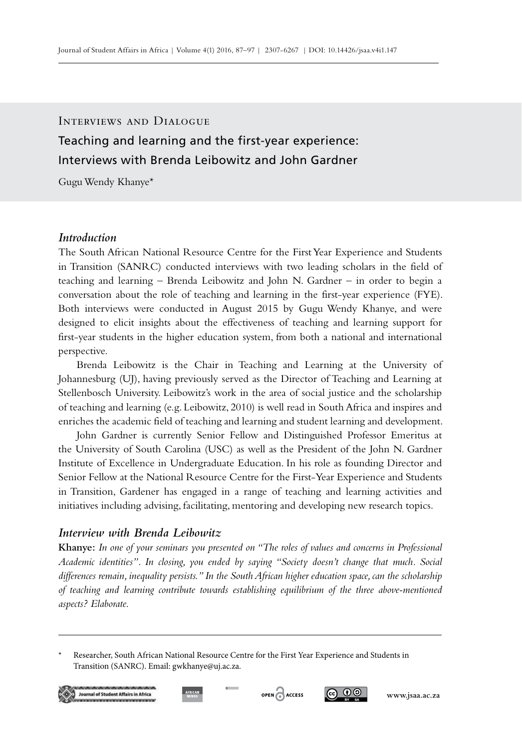# Teaching and learning and the first-year experience: Interviews with Brenda Leibowitz and John Gardner Interviews and Dialogue

Gugu Wendy Khanye\*

## *Introduction*

The South African National Resource Centre for the First Year Experience and Students in Transition (SANRC) conducted interviews with two leading scholars in the field of teaching and learning – Brenda Leibowitz and John N. Gardner – in order to begin a conversation about the role of teaching and learning in the first-year experience (FYE). Both interviews were conducted in August 2015 by Gugu Wendy Khanye, and were designed to elicit insights about the effectiveness of teaching and learning support for first-year students in the higher education system, from both a national and international perspective.

Brenda Leibowitz is the Chair in Teaching and Learning at the University of Johannesburg (UJ), having previously served as the Director of Teaching and Learning at Stellenbosch University. Leibowitz's work in the area of social justice and the scholarship of teaching and learning (e.g. Leibowitz, 2010) is well read in South Africa and inspires and enriches the academic field of teaching and learning and student learning and development.

John Gardner is currently Senior Fellow and Distinguished Professor Emeritus at the University of South Carolina (USC) as well as the President of the John N. Gardner Institute of Excellence in Undergraduate Education. In his role as founding Director and Senior Fellow at the National Resource Centre for the First-Year Experience and Students in Transition, Gardener has engaged in a range of teaching and learning activities and initiatives including advising, facilitating, mentoring and developing new research topics.

### *Interview with Brenda Leibowitz*

**Khanye:** *In one of your seminars you presented on "The roles of values and concerns in Professional Academic identities". In closing, you ended by saying "Society doesn't change that much. Social differences remain, inequality persists." In the South African higher education space, can the scholarship of teaching and learning contribute towards establishing equilibrium of the three above-mentioned aspects? Elaborate.*

<sup>\*</sup> Researcher, South African National Resource Centre for the First Year Experience and Students in Transition (SANRC). Email: gwkhanye@uj.ac.za.







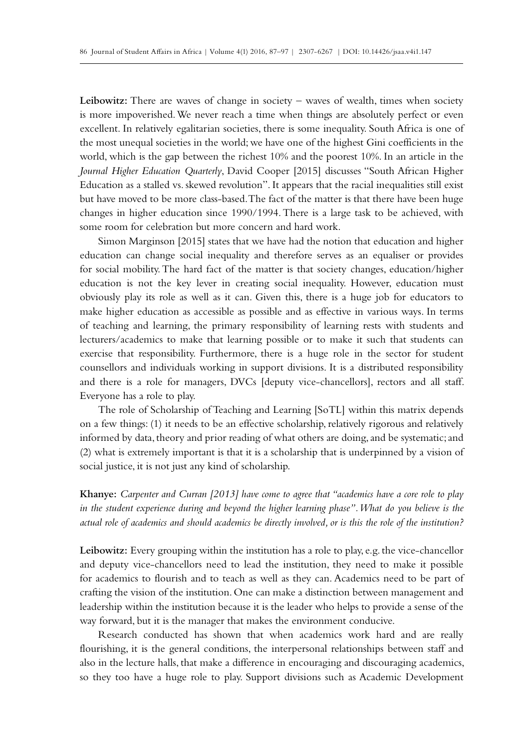**Leibowitz:** There are waves of change in society – waves of wealth, times when society is more impoverished. We never reach a time when things are absolutely perfect or even excellent. In relatively egalitarian societies, there is some inequality. South Africa is one of the most unequal societies in the world; we have one of the highest Gini coefficients in the world, which is the gap between the richest 10% and the poorest 10%. In an article in the *Journal Higher Education Quarterly*, David Cooper [2015] discusses "South African Higher Education as a stalled vs. skewed revolution". It appears that the racial inequalities still exist but have moved to be more class-based. The fact of the matter is that there have been huge changes in higher education since 1990/1994. There is a large task to be achieved, with some room for celebration but more concern and hard work.

Simon Marginson [2015] states that we have had the notion that education and higher education can change social inequality and therefore serves as an equaliser or provides for social mobility. The hard fact of the matter is that society changes, education/higher education is not the key lever in creating social inequality. However, education must obviously play its role as well as it can. Given this, there is a huge job for educators to make higher education as accessible as possible and as effective in various ways. In terms of teaching and learning, the primary responsibility of learning rests with students and lecturers/academics to make that learning possible or to make it such that students can exercise that responsibility. Furthermore, there is a huge role in the sector for student counsellors and individuals working in support divisions. It is a distributed responsibility and there is a role for managers, DVCs [deputy vice-chancellors], rectors and all staff. Everyone has a role to play.

The role of Scholarship of Teaching and Learning [SoTL] within this matrix depends on a few things: (1) it needs to be an effective scholarship, relatively rigorous and relatively informed by data, theory and prior reading of what others are doing, and be systematic; and (2) what is extremely important is that it is a scholarship that is underpinned by a vision of social justice, it is not just any kind of scholarship.

**Khanye:** *Carpenter and Curran [2013] have come to agree that "academics have a core role to play in the student experience during and beyond the higher learning phase". What do you believe is the actual role of academics and should academics be directly involved, or is this the role of the institution?* 

**Leibowitz:** Every grouping within the institution has a role to play, e.g. the vice-chancellor and deputy vice-chancellors need to lead the institution, they need to make it possible for academics to flourish and to teach as well as they can. Academics need to be part of crafting the vision of the institution. One can make a distinction between management and leadership within the institution because it is the leader who helps to provide a sense of the way forward, but it is the manager that makes the environment conducive.

Research conducted has shown that when academics work hard and are really flourishing, it is the general conditions, the interpersonal relationships between staff and also in the lecture halls, that make a difference in encouraging and discouraging academics, so they too have a huge role to play. Support divisions such as Academic Development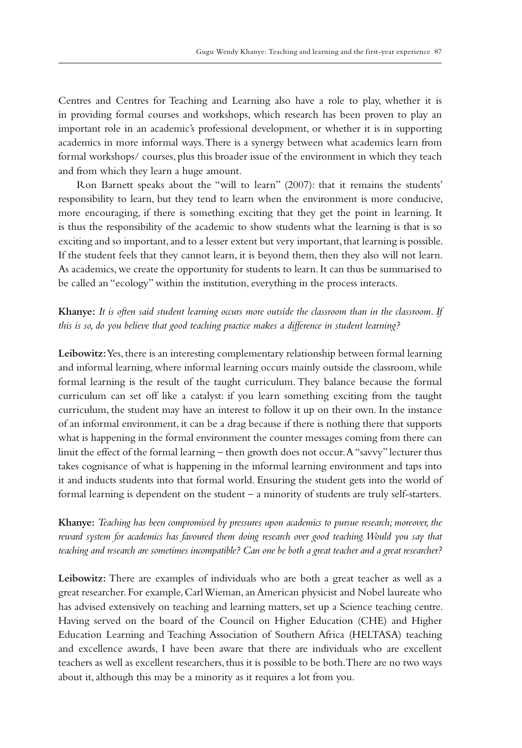Centres and Centres for Teaching and Learning also have a role to play, whether it is in providing formal courses and workshops, which research has been proven to play an important role in an academic's professional development, or whether it is in supporting academics in more informal ways. There is a synergy between what academics learn from formal workshops/ courses, plus this broader issue of the environment in which they teach and from which they learn a huge amount.

Ron Barnett speaks about the "will to learn" (2007): that it remains the students' responsibility to learn, but they tend to learn when the environment is more conducive, more encouraging, if there is something exciting that they get the point in learning. It is thus the responsibility of the academic to show students what the learning is that is so exciting and so important, and to a lesser extent but very important, that learning is possible. If the student feels that they cannot learn, it is beyond them, then they also will not learn. As academics, we create the opportunity for students to learn. It can thus be summarised to be called an "ecology" within the institution, everything in the process interacts.

**Khanye:** *It is often said student learning occurs more outside the classroom than in the classroom. If this is so, do you believe that good teaching practice makes a difference in student learning?*

**Leibowitz:** Yes, there is an interesting complementary relationship between formal learning and informal learning, where informal learning occurs mainly outside the classroom, while formal learning is the result of the taught curriculum. They balance because the formal curriculum can set off like a catalyst: if you learn something exciting from the taught curriculum, the student may have an interest to follow it up on their own. In the instance of an informal environment, it can be a drag because if there is nothing there that supports what is happening in the formal environment the counter messages coming from there can limit the effect of the formal learning – then growth does not occur. A "savvy" lecturer thus takes cognisance of what is happening in the informal learning environment and taps into it and inducts students into that formal world. Ensuring the student gets into the world of formal learning is dependent on the student – a minority of students are truly self-starters.

**Khanye:** *Teaching has been compromised by pressures upon academics to pursue research; moreover, the reward system for academics has favoured them doing research over good teaching. Would you say that teaching and research are sometimes incompatible? Can one be both a great teacher and a great researcher?*

**Leibowitz:** There are examples of individuals who are both a great teacher as well as a great researcher. For example, Carl Wieman, an American physicist and Nobel laureate who has advised extensively on teaching and learning matters, set up a Science teaching centre. Having served on the board of the Council on Higher Education (CHE) and Higher Education Learning and Teaching Association of Southern Africa (HELTASA) teaching and excellence awards, I have been aware that there are individuals who are excellent teachers as well as excellent researchers, thus it is possible to be both. There are no two ways about it, although this may be a minority as it requires a lot from you.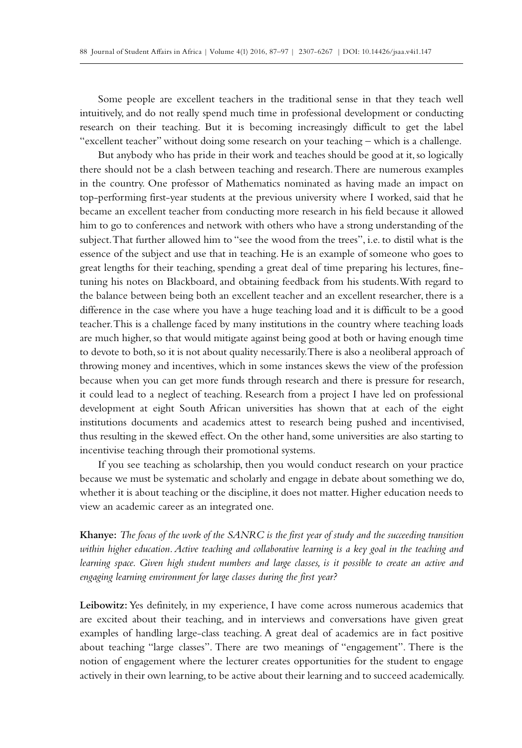Some people are excellent teachers in the traditional sense in that they teach well intuitively, and do not really spend much time in professional development or conducting research on their teaching. But it is becoming increasingly difficult to get the label "excellent teacher" without doing some research on your teaching – which is a challenge.

But anybody who has pride in their work and teaches should be good at it, so logically there should not be a clash between teaching and research. There are numerous examples in the country. One professor of Mathematics nominated as having made an impact on top-performing first-year students at the previous university where I worked, said that he became an excellent teacher from conducting more research in his field because it allowed him to go to conferences and network with others who have a strong understanding of the subject. That further allowed him to "see the wood from the trees", i.e. to distil what is the essence of the subject and use that in teaching. He is an example of someone who goes to great lengths for their teaching, spending a great deal of time preparing his lectures, finetuning his notes on Blackboard, and obtaining feedback from his students.With regard to the balance between being both an excellent teacher and an excellent researcher, there is a difference in the case where you have a huge teaching load and it is difficult to be a good teacher. This is a challenge faced by many institutions in the country where teaching loads are much higher, so that would mitigate against being good at both or having enough time to devote to both, so it is not about quality necessarily. There is also a neoliberal approach of throwing money and incentives, which in some instances skews the view of the profession because when you can get more funds through research and there is pressure for research, it could lead to a neglect of teaching. Research from a project I have led on professional development at eight South African universities has shown that at each of the eight institutions documents and academics attest to research being pushed and incentivised, thus resulting in the skewed effect. On the other hand, some universities are also starting to incentivise teaching through their promotional systems.

If you see teaching as scholarship, then you would conduct research on your practice because we must be systematic and scholarly and engage in debate about something we do, whether it is about teaching or the discipline, it does not matter. Higher education needs to view an academic career as an integrated one.

**Khanye:** *The focus of the work of the SANRC is the first year of study and the succeeding transition within higher education. Active teaching and collaborative learning is a key goal in the teaching and learning space. Given high student numbers and large classes, is it possible to create an active and engaging learning environment for large classes during the first year?*

**Leibowitz:** Yes definitely, in my experience, I have come across numerous academics that are excited about their teaching, and in interviews and conversations have given great examples of handling large-class teaching. A great deal of academics are in fact positive about teaching "large classes". There are two meanings of "engagement". There is the notion of engagement where the lecturer creates opportunities for the student to engage actively in their own learning, to be active about their learning and to succeed academically.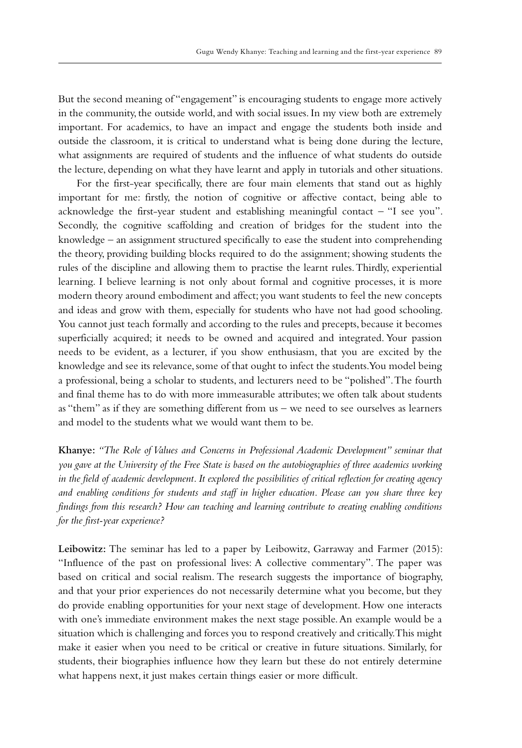But the second meaning of "engagement" is encouraging students to engage more actively in the community, the outside world, and with social issues. In my view both are extremely important. For academics, to have an impact and engage the students both inside and outside the classroom, it is critical to understand what is being done during the lecture, what assignments are required of students and the influence of what students do outside the lecture, depending on what they have learnt and apply in tutorials and other situations.

For the first-year specifically, there are four main elements that stand out as highly important for me: firstly, the notion of cognitive or affective contact, being able to acknowledge the first-year student and establishing meaningful contact – "I see you". Secondly, the cognitive scaffolding and creation of bridges for the student into the knowledge – an assignment structured specifically to ease the student into comprehending the theory, providing building blocks required to do the assignment; showing students the rules of the discipline and allowing them to practise the learnt rules. Thirdly, experiential learning. I believe learning is not only about formal and cognitive processes, it is more modern theory around embodiment and affect; you want students to feel the new concepts and ideas and grow with them, especially for students who have not had good schooling. You cannot just teach formally and according to the rules and precepts, because it becomes superficially acquired; it needs to be owned and acquired and integrated. Your passion needs to be evident, as a lecturer, if you show enthusiasm, that you are excited by the knowledge and see its relevance, some of that ought to infect the students. You model being a professional, being a scholar to students, and lecturers need to be "polished". The fourth and final theme has to do with more immeasurable attributes; we often talk about students as "them" as if they are something different from us – we need to see ourselves as learners and model to the students what we would want them to be.

**Khanye:** *"The Role of Values and Concerns in Professional Academic Development" seminar that you gave at the University of the Free State is based on the autobiographies of three academics working in the field of academic development. It explored the possibilities of critical reflection for creating agency and enabling conditions for students and staff in higher education. Please can you share three key findings from this research? How can teaching and learning contribute to creating enabling conditions for the first-year experience?*

**Leibowitz:** The seminar has led to a paper by Leibowitz, Garraway and Farmer (2015): "Influence of the past on professional lives: A collective commentary". The paper was based on critical and social realism. The research suggests the importance of biography, and that your prior experiences do not necessarily determine what you become, but they do provide enabling opportunities for your next stage of development. How one interacts with one's immediate environment makes the next stage possible. An example would be a situation which is challenging and forces you to respond creatively and critically. This might make it easier when you need to be critical or creative in future situations. Similarly, for students, their biographies influence how they learn but these do not entirely determine what happens next, it just makes certain things easier or more difficult.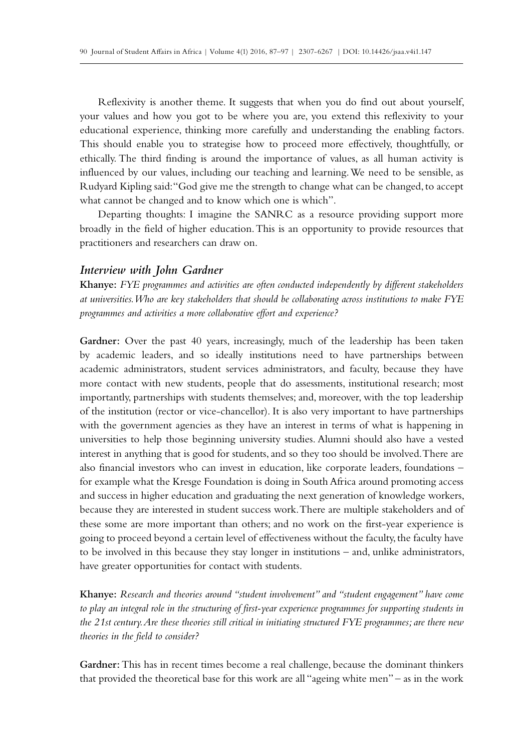Reflexivity is another theme. It suggests that when you do find out about yourself, your values and how you got to be where you are, you extend this reflexivity to your educational experience, thinking more carefully and understanding the enabling factors. This should enable you to strategise how to proceed more effectively, thoughtfully, or ethically. The third finding is around the importance of values, as all human activity is influenced by our values, including our teaching and learning. We need to be sensible, as Rudyard Kipling said: "God give me the strength to change what can be changed, to accept what cannot be changed and to know which one is which".

Departing thoughts: I imagine the SANRC as a resource providing support more broadly in the field of higher education. This is an opportunity to provide resources that practitioners and researchers can draw on.

#### *Interview with John Gardner*

**Khanye:** *FYE programmes and activities are often conducted independently by different stakeholders at universities. Who are key stakeholders that should be collaborating across institutions to make FYE programmes and activities a more collaborative effort and experience?*

**Gardner:** Over the past 40 years, increasingly, much of the leadership has been taken by academic leaders, and so ideally institutions need to have partnerships between academic administrators, student services administrators, and faculty, because they have more contact with new students, people that do assessments, institutional research; most importantly, partnerships with students themselves; and, moreover, with the top leadership of the institution (rector or vice-chancellor). It is also very important to have partnerships with the government agencies as they have an interest in terms of what is happening in universities to help those beginning university studies. Alumni should also have a vested interest in anything that is good for students, and so they too should be involved. There are also financial investors who can invest in education, like corporate leaders, foundations – for example what the Kresge Foundation is doing in South Africa around promoting access and success in higher education and graduating the next generation of knowledge workers, because they are interested in student success work. There are multiple stakeholders and of these some are more important than others; and no work on the first-year experience is going to proceed beyond a certain level of effectiveness without the faculty, the faculty have to be involved in this because they stay longer in institutions – and, unlike administrators, have greater opportunities for contact with students.

**Khanye:** *Research and theories around "student involvement" and "student engagement" have come to play an integral role in the structuring of first-year experience programmes for supporting students in the 21st century. Are these theories still critical in initiating structured FYE programmes; are there new theories in the field to consider?*

**Gardner:** This has in recent times become a real challenge, because the dominant thinkers that provided the theoretical base for this work are all "ageing white men" – as in the work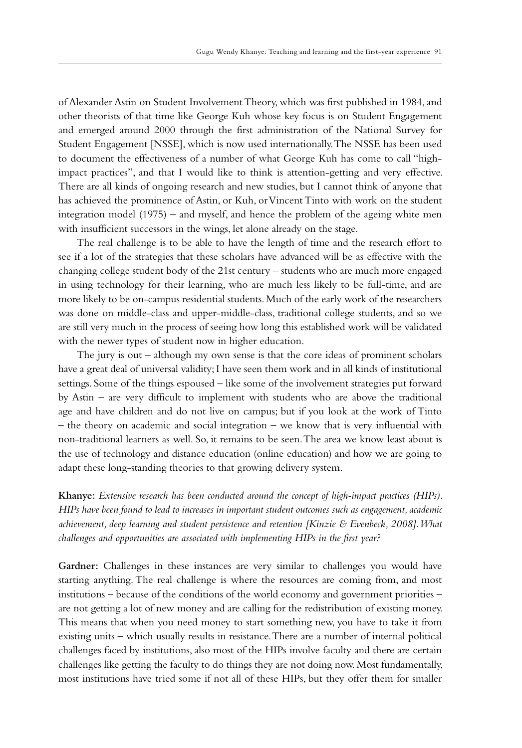of Alexander Astin on Student Involvement Theory, which was first published in 1984, and other theorists of that time like George Kuh whose key focus is on Student Engagement and emerged around 2000 through the first administration of the National Survey for Student Engagement [NSSE], which is now used internationally. The NSSE has been used to document the effectiveness of a number of what George Kuh has come to call "highimpact practices", and that I would like to think is attention-getting and very effective. There are all kinds of ongoing research and new studies, but I cannot think of anyone that has achieved the prominence of Astin, or Kuh, or Vincent Tinto with work on the student integration model (1975) – and myself, and hence the problem of the ageing white men with insufficient successors in the wings, let alone already on the stage.

The real challenge is to be able to have the length of time and the research effort to see if a lot of the strategies that these scholars have advanced will be as effective with the changing college student body of the 21st century – students who are much more engaged in using technology for their learning, who are much less likely to be full-time, and are more likely to be on-campus residential students. Much of the early work of the researchers was done on middle-class and upper-middle-class, traditional college students, and so we are still very much in the process of seeing how long this established work will be validated with the newer types of student now in higher education.

The jury is out – although my own sense is that the core ideas of prominent scholars have a great deal of universal validity; I have seen them work and in all kinds of institutional settings. Some of the things espoused – like some of the involvement strategies put forward by Astin – are very difficult to implement with students who are above the traditional age and have children and do not live on campus; but if you look at the work of Tinto – the theory on academic and social integration – we know that is very influential with non-traditional learners as well. So, it remains to be seen. The area we know least about is the use of technology and distance education (online education) and how we are going to adapt these long-standing theories to that growing delivery system.

**Khanye:** *Extensive research has been conducted around the concept of high-impact practices (HIPs). HIPs have been found to lead to increases in important student outcomes such as engagement, academic achievement, deep learning and student persistence and retention [Kinzie & Evenbeck, 2008]. What challenges and opportunities are associated with implementing HIPs in the first year?*

**Gardner:** Challenges in these instances are very similar to challenges you would have starting anything. The real challenge is where the resources are coming from, and most institutions – because of the conditions of the world economy and government priorities – are not getting a lot of new money and are calling for the redistribution of existing money. This means that when you need money to start something new, you have to take it from existing units – which usually results in resistance. There are a number of internal political challenges faced by institutions, also most of the HIPs involve faculty and there are certain challenges like getting the faculty to do things they are not doing now. Most fundamentally, most institutions have tried some if not all of these HIPs, but they offer them for smaller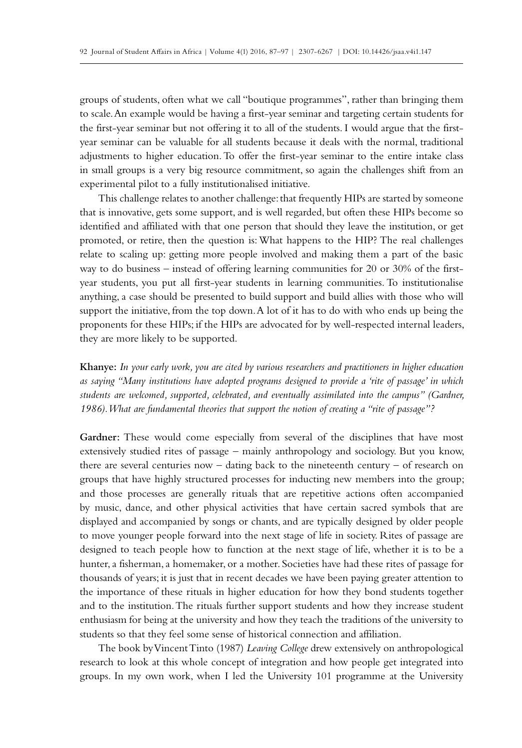groups of students, often what we call "boutique programmes", rather than bringing them to scale. An example would be having a first-year seminar and targeting certain students for the first-year seminar but not offering it to all of the students. I would argue that the firstyear seminar can be valuable for all students because it deals with the normal, traditional adjustments to higher education. To offer the first-year seminar to the entire intake class in small groups is a very big resource commitment, so again the challenges shift from an experimental pilot to a fully institutionalised initiative.

This challenge relates to another challenge: that frequently HIPs are started by someone that is innovative, gets some support, and is well regarded, but often these HIPs become so identified and affiliated with that one person that should they leave the institution, or get promoted, or retire, then the question is: What happens to the HIP? The real challenges relate to scaling up: getting more people involved and making them a part of the basic way to do business – instead of offering learning communities for 20 or 30% of the firstyear students, you put all first-year students in learning communities. To institutionalise anything, a case should be presented to build support and build allies with those who will support the initiative, from the top down. A lot of it has to do with who ends up being the proponents for these HIPs; if the HIPs are advocated for by well-respected internal leaders, they are more likely to be supported.

**Khanye:** *In your early work, you are cited by various researchers and practitioners in higher education as saying "Many institutions have adopted programs designed to provide a 'rite of passage' in which students are welcomed, supported, celebrated, and eventually assimilated into the campus" (Gardner, 1986). What are fundamental theories that support the notion of creating a "rite of passage"?* 

**Gardner:** These would come especially from several of the disciplines that have most extensively studied rites of passage – mainly anthropology and sociology. But you know, there are several centuries now – dating back to the nineteenth century – of research on groups that have highly structured processes for inducting new members into the group; and those processes are generally rituals that are repetitive actions often accompanied by music, dance, and other physical activities that have certain sacred symbols that are displayed and accompanied by songs or chants, and are typically designed by older people to move younger people forward into the next stage of life in society. Rites of passage are designed to teach people how to function at the next stage of life, whether it is to be a hunter, a fisherman, a homemaker, or a mother. Societies have had these rites of passage for thousands of years; it is just that in recent decades we have been paying greater attention to the importance of these rituals in higher education for how they bond students together and to the institution. The rituals further support students and how they increase student enthusiasm for being at the university and how they teach the traditions of the university to students so that they feel some sense of historical connection and affiliation.

The book by Vincent Tinto (1987) *Leaving College* drew extensively on anthropological research to look at this whole concept of integration and how people get integrated into groups. In my own work, when I led the University 101 programme at the University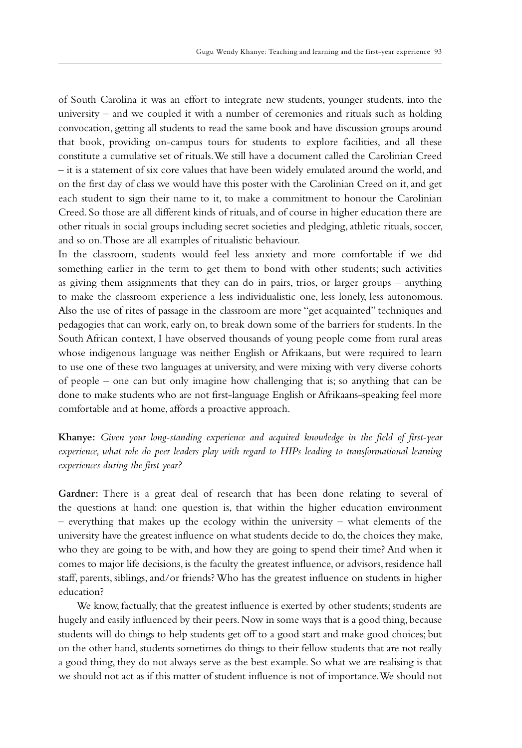of South Carolina it was an effort to integrate new students, younger students, into the university – and we coupled it with a number of ceremonies and rituals such as holding convocation, getting all students to read the same book and have discussion groups around that book, providing on-campus tours for students to explore facilities, and all these constitute a cumulative set of rituals. We still have a document called the Carolinian Creed – it is a statement of six core values that have been widely emulated around the world, and on the first day of class we would have this poster with the Carolinian Creed on it, and get each student to sign their name to it, to make a commitment to honour the Carolinian Creed. So those are all different kinds of rituals, and of course in higher education there are other rituals in social groups including secret societies and pledging, athletic rituals, soccer, and so on. Those are all examples of ritualistic behaviour.

In the classroom, students would feel less anxiety and more comfortable if we did something earlier in the term to get them to bond with other students; such activities as giving them assignments that they can do in pairs, trios, or larger groups – anything to make the classroom experience a less individualistic one, less lonely, less autonomous. Also the use of rites of passage in the classroom are more "get acquainted" techniques and pedagogies that can work, early on, to break down some of the barriers for students. In the South African context, I have observed thousands of young people come from rural areas whose indigenous language was neither English or Afrikaans, but were required to learn to use one of these two languages at university, and were mixing with very diverse cohorts of people – one can but only imagine how challenging that is; so anything that can be done to make students who are not first-language English or Afrikaans-speaking feel more comfortable and at home, affords a proactive approach.

**Khanye:** *Given your long-standing experience and acquired knowledge in the field of first-year experience, what role do peer leaders play with regard to HIPs leading to transformational learning experiences during the first year?*

**Gardner:** There is a great deal of research that has been done relating to several of the questions at hand: one question is, that within the higher education environment – everything that makes up the ecology within the university – what elements of the university have the greatest influence on what students decide to do, the choices they make, who they are going to be with, and how they are going to spend their time? And when it comes to major life decisions, is the faculty the greatest influence, or advisors, residence hall staff, parents, siblings, and/or friends? Who has the greatest influence on students in higher education?

We know, factually, that the greatest influence is exerted by other students; students are hugely and easily influenced by their peers. Now in some ways that is a good thing, because students will do things to help students get off to a good start and make good choices; but on the other hand, students sometimes do things to their fellow students that are not really a good thing, they do not always serve as the best example. So what we are realising is that we should not act as if this matter of student influence is not of importance. We should not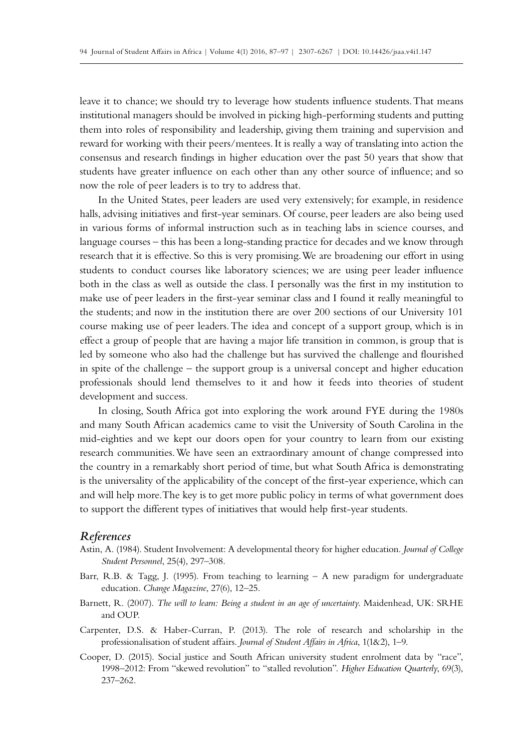leave it to chance; we should try to leverage how students influence students. That means institutional managers should be involved in picking high-performing students and putting them into roles of responsibility and leadership, giving them training and supervision and reward for working with their peers/mentees. It is really a way of translating into action the consensus and research findings in higher education over the past 50 years that show that students have greater influence on each other than any other source of influence; and so now the role of peer leaders is to try to address that.

In the United States, peer leaders are used very extensively; for example, in residence halls, advising initiatives and first-year seminars. Of course, peer leaders are also being used in various forms of informal instruction such as in teaching labs in science courses, and language courses – this has been a long-standing practice for decades and we know through research that it is effective. So this is very promising. We are broadening our effort in using students to conduct courses like laboratory sciences; we are using peer leader influence both in the class as well as outside the class. I personally was the first in my institution to make use of peer leaders in the first-year seminar class and I found it really meaningful to the students; and now in the institution there are over 200 sections of our University 101 course making use of peer leaders. The idea and concept of a support group, which is in effect a group of people that are having a major life transition in common, is group that is led by someone who also had the challenge but has survived the challenge and flourished in spite of the challenge – the support group is a universal concept and higher education professionals should lend themselves to it and how it feeds into theories of student development and success.

In closing, South Africa got into exploring the work around FYE during the 1980s and many South African academics came to visit the University of South Carolina in the mid-eighties and we kept our doors open for your country to learn from our existing research communities. We have seen an extraordinary amount of change compressed into the country in a remarkably short period of time, but what South Africa is demonstrating is the universality of the applicability of the concept of the first-year experience, which can and will help more. The key is to get more public policy in terms of what government does to support the different types of initiatives that would help first-year students.

#### *References*

- Astin, A. (1984). Student Involvement: A developmental theory for higher education. *Journal of College Student Personnel*, 25(4), 297–308.
- Barr, R.B. & Tagg, J. (1995). From teaching to learning  $-$  A new paradigm for undergraduate education. *Change Magazine*, 27(6), 12–25.
- Barnett, R. (2007). *The will to learn: Being a student in an age of uncertainty*. Maidenhead, UK: SRHE and OUP.
- Carpenter, D.S. & Haber-Curran, P. (2013). The role of research and scholarship in the professionalisation of student affairs. *Journal of Student Affairs in Africa*, 1(1&2), 1–9.
- Cooper, D. (2015). Social justice and South African university student enrolment data by "race", 1998–2012: From "skewed revolution" to "stalled revolution". *Higher Education Quarterly*, 69(3), 237–262.